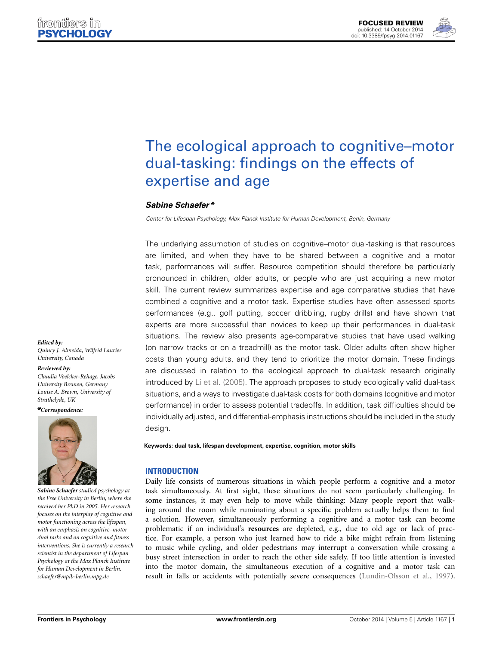**[FOCUSED REVIEW](http://www.frontiersin.org/Psychology/editorialboard)** [published: 14 October 2014](http://www.frontiersin.org/Psychology/editorialboard) [doi: 10.3389/fpsyg.2014.01167](http://www.frontiersin.org/Psychology/editorialboard)



# [The ecological approach to cognitive–motor](http://www.frontiersin.org/journal/10.3389/fpsyg.2014.01167/abstract) dual-tasking: findings on the effects of expertise and age

# *[Sabine Schaefer](http://community.frontiersin.org/people/u/77170)\**

*Center for Lifespan Psychology, Max Planck Institute for Human Development, Berlin, Germany*

The underlying assumption of studies on cognitive–motor dual-tasking is that resources are limited, and when they have to be shared between a cognitive and a motor task, performances will suffer. Resource competition should therefore be particularly pronounced in children, older adults, or people who are just acquiring a new motor skill. The current review summarizes expertise and age comparative studies that have combined a cognitive and a motor task. Expertise studies have often assessed sports performances (e.g., golf putting, soccer dribbling, rugby drills) and have shown that experts are more successful than novices to keep up their performances in dual-task situations. The review also presents age-comparative studies that have used walking (on narrow tracks or on a treadmill) as the motor task. Older adults often show higher costs than young adults, and they tend to prioritize the motor domain. These findings are discussed in relation to the ecological approach to dual-task research originally introduced by [Li et al.](#page-7-0) [\(2005](#page-7-0)). The approach proposes to study ecologically valid dual-task situations, and always to investigate dual-task costs for both domains (cognitive and motor performance) in order to assess potential tradeoffs. In addition, task difficulties should be individually adjusted, and differential-emphasis instructions should be included in the study design.

**Keywords: dual task, lifespan development, expertise, cognition, motor skills**

# **INTRODUCTION**

Daily life consists of numerous situations in which people perform a cognitive and a motor task simultaneously. At first sight, these situations do not seem particularly challenging. In some instances, it may even help to move while thinking: Many people report that walking around the room while ruminating about a specific problem actually helps them to find a solution. However, simultaneously performing a cognitive and a motor task can become problematic if an individual's **resources** are depleted, e.g., due to old age or lack of practice. For example, a person who just learned how to ride a bike might refrain from listening to music while cycling, and older pedestrians may interrupt a conversation while crossing a busy street intersection in order to reach the other side safely. If too little attention is invested into the motor domain, the simultaneous execution of a cognitive and a motor task can result in falls or accidents with potentially severe consequences [\(Lundin-Olsson et al.](#page-7-1), [1997](#page-7-1)).

*Edited by: Quincy J. Almeida, Wilfrid Laurier University, Canada*

## *Reviewed by:*

*Claudia Voelcker-Rehage, Jacobs University Bremen, Germany Louise A. Brown, University of Strathclyde, UK*

*\*Correspondence:*



*Sabine Schaefer studied psychology at the Free University in Berlin, where she received her PhD in 2005. Her research focuses on the interplay of cognitive and motor functioning across the lifespan, with an emphasis on cognitive–motor dual tasks and on cognitive and fitness interventions. She is currently a research scientist in the department of Lifespan Psychology at the Max Planck Institute for Human Development in Berlin. [schaefer@mpib-berlin.mpg.de](mailto:schaefer@mpib-berlin.mpg.de)*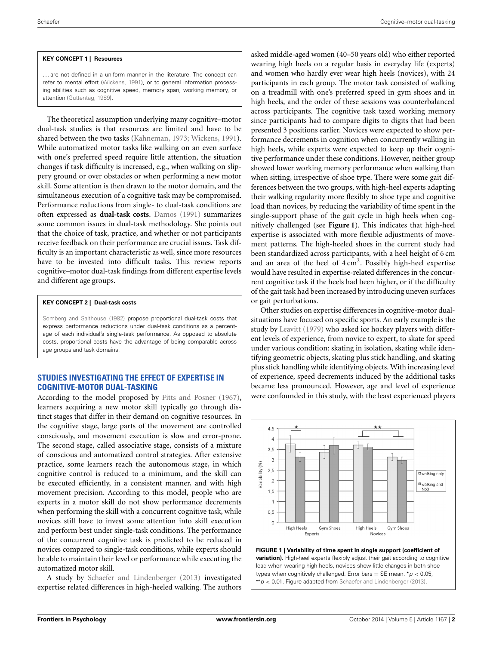## **KEY CONCEPT 1 | Resources**

... are not defined in a uniform manner in the literature. The concept can refer to mental effort [\(Wickens, 1991\)](#page-8-0), or to general information processing abilities such as cognitive speed, memory span, working memory, or attention [\(Guttentag, 1989\)](#page-7-2).

The theoretical assumption underlying many cognitive–motor dual-task studies is that resources are limited and have to be shared between the two tasks [\(Kahneman](#page-7-3), [1973](#page-7-3); [Wickens](#page-8-0), [1991](#page-8-0)). While automatized motor tasks like walking on an even surface with one's preferred speed require little attention, the situation changes if task difficulty is increased, e.g., when walking on slippery ground or over obstacles or when performing a new motor skill. Some attention is then drawn to the motor domain, and the simultaneous execution of a cognitive task may be compromised. Performance reductions from single- to dual-task conditions are often expressed as **dual-task costs**. [Damos](#page-7-4) [\(1991\)](#page-7-4) summarizes some common issues in dual-task methodology. She points out that the choice of task, practice, and whether or not participants receive feedback on their performance are crucial issues. Task difficulty is an important characteristic as well, since more resources have to be invested into difficult tasks. This review reports cognitive–motor dual-task findings from different expertise levels and different age groups.

## **KEY CONCEPT 2 | Dual-task costs**

[Somberg and Salthouse](#page-8-1) [\(1982\)](#page-8-1) propose proportional dual-task costs that express performance reductions under dual-task conditions as a percentage of each individual's single-task performance. As opposed to absolute costs, proportional costs have the advantage of being comparable across age groups and task domains.

# **STUDIES INVESTIGATING THE EFFECT OF EXPERTISE IN COGNITIVE-MOTOR DUAL-TASKING**

According to the model proposed by [Fitts and Posner](#page-7-5) [\(1967\)](#page-7-5), learners acquiring a new motor skill typically go through distinct stages that differ in their demand on cognitive resources. In the cognitive stage, large parts of the movement are controlled consciously, and movement execution is slow and error-prone. The second stage, called associative stage, consists of a mixture of conscious and automatized control strategies. After extensive practice, some learners reach the autonomous stage, in which cognitive control is reduced to a minimum, and the skill can be executed efficiently, in a consistent manner, and with high movement precision. According to this model, people who are experts in a motor skill do not show performance decrements when performing the skill with a concurrent cognitive task, while novices still have to invest some attention into skill execution and perform best under single-task conditions. The performance of the concurrent cognitive task is predicted to be reduced in novices compared to single-task conditions, while experts should be able to maintain their level or performance while executing the automatized motor skill.

A study by [Schaefer and Lindenberger](#page-7-6) [\(2013\)](#page-7-6) investigated expertise related differences in high-heeled walking. The authors

asked middle-aged women (40–50 years old) who either reported wearing high heels on a regular basis in everyday life (experts) and women who hardly ever wear high heels (novices), with 24 participants in each group. The motor task consisted of walking on a treadmill with one's preferred speed in gym shoes and in high heels, and the order of these sessions was counterbalanced across participants. The cognitive task taxed working memory since participants had to compare digits to digits that had been presented 3 positions earlier. Novices were expected to show performance decrements in cognition when concurrently walking in high heels, while experts were expected to keep up their cognitive performance under these conditions. However, neither group showed lower working memory performance when walking than when sitting, irrespective of shoe type. There were some gait differences between the two groups, with high-heel experts adapting their walking regularity more flexibly to shoe type and cognitive load than novices, by reducing the variability of time spent in the single-support phase of the gait cycle in high heels when cognitively challenged (see **[Figure 1](#page-1-0)**). This indicates that high-heel expertise is associated with more flexible adjustments of movement patterns. The high-heeled shoes in the current study had been standardized across participants, with a heel height of 6 cm and an area of the heel of  $4 \text{ cm}^2$ . Possibly high-heel expertise would have resulted in expertise-related differences in the concurrent cognitive task if the heels had been higher, or if the difficulty of the gait task had been increased by introducing uneven surfaces or gait perturbations.

Other studies on expertise differences in cognitive-motor dualsituations have focused on specific sports. An early example is the study by [Leavitt](#page-7-7) [\(1979\)](#page-7-7) who asked ice hockey players with different levels of experience, from novice to expert, to skate for speed under various condition: skating in isolation, skating while identifying geometric objects, skating plus stick handling, and skating plus stick handling while identifying objects. With increasing level of experience, speed decrements induced by the additional tasks became less pronounced. However, age and level of experience were confounded in this study, with the least experienced players



<span id="page-1-0"></span>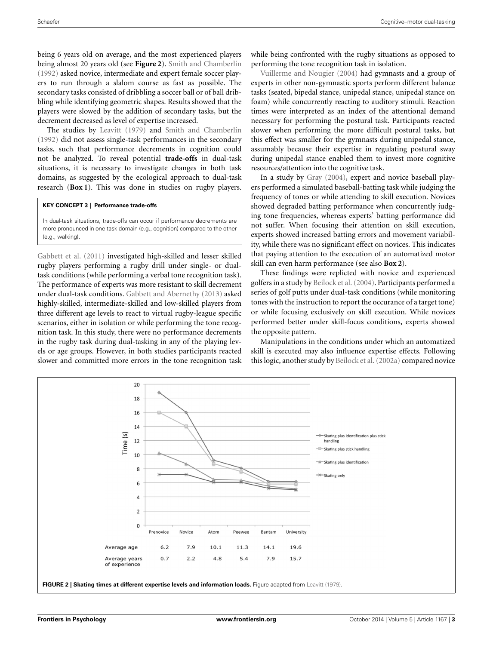being 6 years old on average, and the most experienced players being almost 20 years old (see **[Figure 2](#page-2-0)**). [Smith and Chamberlin](#page-8-2) [\(1992\)](#page-8-2) asked novice, intermediate and expert female soccer players to run through a slalom course as fast as possible. The secondary tasks consisted of dribbling a soccer ball or of ball dribbling while identifying geometric shapes. Results showed that the players were slowed by the addition of secondary tasks, but the decrement decreased as level of expertise increased.

The studies by [Leavitt](#page-7-7) [\(1979\)](#page-7-7) and [Smith and Chamberlin](#page-8-2) [\(1992\)](#page-8-2) did not assess single-task performances in the secondary tasks, such that performance decrements in cognition could not be analyzed. To reveal potential **trade-offs** in dual-task situations, it is necessary to investigate changes in both task domains, as suggested by the ecological approach to dual-task research (**[Box 1](#page-2-0)**). This was done in studies on rugby players.

## **KEY CONCEPT 3 | Performance trade-offs**

In dual-task situations, trade-offs can occur if performance decrements are more pronounced in one task domain (e.g., cognition) compared to the other (e.g., walking).

[Gabbett et al.](#page-7-8) [\(2011\)](#page-7-8) investigated high-skilled and lesser skilled rugby players performing a rugby drill under single- or dualtask conditions (while performing a verbal tone recognition task). The performance of experts was more resistant to skill decrement under dual-task conditions. [Gabbett and Abernethy](#page-7-9) [\(2013](#page-7-9)) asked highly-skilled, intermediate-skilled and low-skilled players from three different age levels to react to virtual rugby-league specific scenarios, either in isolation or while performing the tone recognition task. In this study, there were no performance decrements in the rugby task during dual-tasking in any of the playing levels or age groups. However, in both studies participants reacted slower and committed more errors in the tone recognition task

while being confronted with the rugby situations as opposed to [performing](#page-8-3) [the](#page-8-3) [tone](#page-8-3) [recogn](#page-8-3)ition task in isolation.

Vuillerme and Nougier [\(2004\)](#page-8-3) had gymnasts and a group of experts in other non-gymnastic sports perform different balance tasks (seated, bipedal stance, unipedal stance, unipedal stance on foam) while concurrently reacting to auditory stimuli. Reaction times were interpreted as an index of the attentional demand necessary for performing the postural task. Participants reacted slower when performing the more difficult postural tasks, but this effect was smaller for the gymnasts during unipedal stance, assumably because their expertise in regulating postural sway during unipedal stance enabled them to invest more cognitive resources/attention into the cognitive task.

In a study by [Gray](#page-7-10) [\(2004](#page-7-10)), expert and novice baseball players performed a simulated baseball-batting task while judging the frequency of tones or while attending to skill execution. Novices showed degraded batting performance when concurrently judging tone frequencies, whereas experts' batting performance did not suffer. When focusing their attention on skill execution, experts showed increased batting errors and movement variability, while there was no significant effect on novices. This indicates that paying attention to the execution of an automatized motor skill can even harm performance (see also **[Box 2](#page-2-0)**).

These findings were replicted with novice and experienced golfers in a study by [Beilock et al.](#page-7-11) [\(2004\)](#page-7-11). Participants performed a series of golf putts under dual-task conditions (while monitoring tones with the instruction to report the occurance of a target tone) or while focusing exclusively on skill execution. While novices performed better under skill-focus conditions, experts showed the opposite pattern.

Manipulations in the conditions under which an automatized skill is executed may also influence expertise effects. Following this logic, another study by [Beilock et al.](#page-7-12) [\(2002a](#page-7-12)) compared novice

<span id="page-2-0"></span>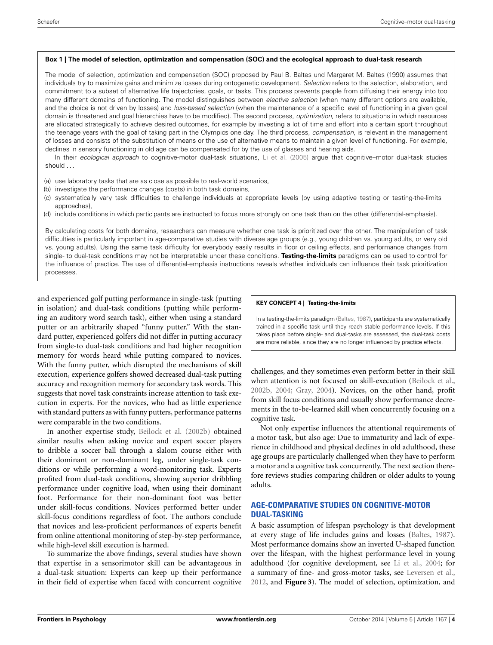#### **Box 1 | The model of selection, optimization and compensation (SOC) and the ecological approach to dual-task research**

The model of selection, optimization and compensation (SOC) proposed by Paul B. Baltes und Margaret M. Baltes (1990) assumes that individuals try to maximize gains and minimize losses during ontogenetic development. *Selection* refers to the selection, elaboration, and commitment to a subset of alternative life trajectories, goals, or tasks. This process prevents people from diffusing their energy into too many different domains of functioning. The model distinguishes between *elective selection* (when many different options are available, and the choice is not driven by losses) and *loss-based selection* (when the maintenance of a specific level of functioning in a given goal domain is threatened and goal hierarchies have to be modified). The second process, *optimization*, refers to situations in which resources are allocated strategically to achieve desired outcomes, for example by investing a lot of time and effort into a certain sport throughout the teenage years with the goal of taking part in the Olympics one day. The third process, *compensation*, is relevant in the management of losses and consists of the substitution of means or the use of alternative means to maintain a given level of functioning. For example, declines in sensory functioning in old age can be compensated for by the use of glasses and hearing aids.

In their *ecological approach* to cognitive-motor dual-task situations, [Li et al.](#page-7-0) [\(2005\)](#page-7-0) argue that cognitive–motor dual-task studies should ...

- (a) use laboratory tasks that are as close as possible to real-world scenarios,
- (b) investigate the performance changes (costs) in both task domains,
- (c) systematically vary task difficulties to challenge individuals at appropriate levels (by using adaptive testing or testing-the-limits approaches),
- (d) include conditions in which participants are instructed to focus more strongly on one task than on the other (differential-emphasis).

By calculating costs for both domains, researchers can measure whether one task is prioritized over the other. The manipulation of task difficulties is particularly important in age-comparative studies with diverse age groups (e.g., young children vs. young adults, or very old vs. young adults). Using the same task difficulty for everybody easily results in floor or ceiling effects, and performance changes from single- to dual-task conditions may not be interpretable under these conditions. **Testing-the-limits** paradigms can be used to control for the influence of practice. The use of differential-emphasis instructions reveals whether individuals can influence their task prioritization processes.

and experienced golf putting performance in single-task (putting in isolation) and dual-task conditions (putting while performing an auditory word search task), either when using a standard putter or an arbitrarily shaped "funny putter." With the standard putter, experienced golfers did not differ in putting accuracy from single-to dual-task conditions and had higher recognition memory for words heard while putting compared to novices. With the funny putter, which disrupted the mechanisms of skill execution, experience golfers showed decreased dual-task putting accuracy and recognition memory for secondary task words. This suggests that novel task constraints increase attention to task execution in experts. For the novices, who had as little experience with standard putters as with funny putters, performance patterns were comparable in the two conditions.

In another expertise study, [Beilock et al.](#page-7-13) [\(2002b](#page-7-13)) obtained similar results when asking novice and expert soccer players to dribble a soccer ball through a slalom course either with their dominant or non-dominant leg, under single-task conditions or while performing a word-monitoring task. Experts profited from dual-task conditions, showing superior dribbling performance under cognitive load, when using their dominant foot. Performance for their non-dominant foot was better under skill-focus conditions. Novices performed better under skill-focus conditions regardless of foot. The authors conclude that novices and less-proficient performances of experts benefit from online attentional monitoring of step-by-step performance, while high-level skill execution is harmed.

To summarize the above findings, several studies have shown that expertise in a sensorimotor skill can be advantageous in a dual-task situation: Experts can keep up their performance in their field of expertise when faced with concurrent cognitive

## **KEY CONCEPT 4 | Testing-the-limits**

In a testing-the-limits paradigm [\(Baltes](#page-7-14), [1987](#page-7-14)), participants are systematically trained in a specific task until they reach stable performance levels. If this takes place before single- and dual-tasks are assessed, the dual-task costs are more reliable, since they are no longer influenced by practice effects.

challenges, and they sometimes even perform better in their skill when attention is not focused on skill-execution [\(Beilock et al.](#page-7-13), [2002b](#page-7-13), [2004](#page-7-11); [Gray, 2004\)](#page-7-10). Novices, on the other hand, profit from skill focus conditions and usually show performance decrements in the to-be-learned skill when concurrently focusing on a cognitive task.

Not only expertise influences the attentional requirements of a motor task, but also age: Due to immaturity and lack of experience in childhood and physical declines in old adulthood, these age groups are particularly challenged when they have to perform a motor and a cognitive task concurrently. The next section therefore reviews studies comparing children or older adults to young adults.

# **AGE-COMPARATIVE STUDIES ON COGNITIVE-MOTOR DUAL-TASKING**

A basic assumption of lifespan psychology is that development at every stage of life includes gains and losses [\(Baltes](#page-7-14), [1987\)](#page-7-14). Most performance domains show an inverted U-shaped function over the lifespan, with the highest performance level in young adulthood (for cognitive development, see [Li et al.](#page-7-15), [2004](#page-7-15); for a summary of fine- and gross-motor tasks, see [Leversen et al.](#page-7-16), [2012](#page-7-16), and **[Figure 3](#page-4-0)**). The model of selection, optimization, and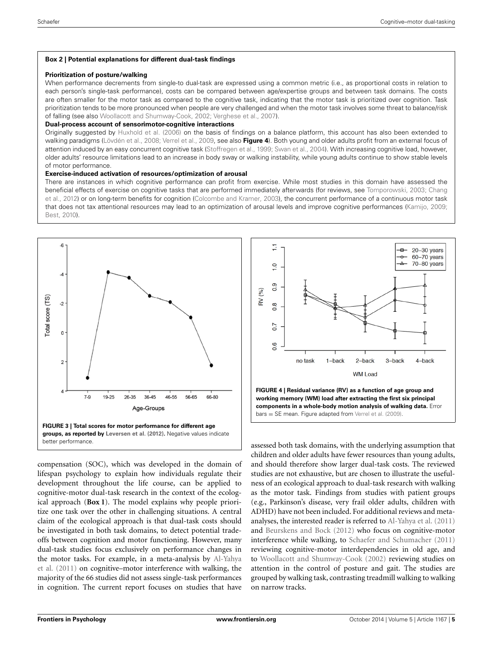## **Box 2 | Potential explanations for different dual-task findings**

#### **Prioritization of posture/walking**

When performance decrements from single-to dual-task are expressed using a common metric (i.e., as proportional costs in relation to each person's single-task performance), costs can be compared between age/expertise groups and between task domains. The costs are often smaller for the motor task as compared to the cognitive task, indicating that the motor task is prioritized over cognition. Task prioritization tends to be more pronounced when people are very challenged and when the motor task involves some threat to balance/risk of falling (see also [Woollacott and Shumway-Cook](#page-8-4), [2002;](#page-8-4) [Verghese et al., 2007](#page-8-5)).

## **Dual-process account of sensorimotor-cognitive interactions**

Originally suggested by [Huxhold et al.](#page-7-17) [\(2006\)](#page-7-17) on the basis of findings on a balance platform, this account has also been extended to walking paradigms [\(Lövdén et al.](#page-7-18), [2008](#page-7-18); [Verrel et al., 2009](#page-8-6), see also **[Figure 4](#page-4-1)**). Both young and older adults profit from an external focus of attention induced by an easy concurrent cognitive task [\(Stoffregen et al.](#page-8-7), [1999;](#page-8-7) [Swan et al.](#page-8-8), [2004](#page-8-8)). With increasing cognitive load, however, older adults' resource limitations lead to an increase in body sway or walking instability, while young adults continue to show stable levels of motor performance.

## **Exercise-induced activation of resources/optimization of arousal**

There are instances in which cognitive performance can profit from exercise. While most studies in this domain have assessed the ben[eficial effects of exercise on cognitive tasks that are performed immediately afterwards \(for reviews, see](#page-7-19) [Tomporowski, 2003](#page-8-9); Chang et al., [2012](#page-7-19)) or on long-term benefits for cognition [\(Colcombe and Kramer](#page-7-20), [2003\)](#page-7-20), the concurrent performance of a continuous motor task that does not tax attentional resources may lead to an optimization of arousal levels and improve cognitive performances [\(Kamijo, 2009](#page-7-21); [Best, 2010](#page-7-22)).



<span id="page-4-0"></span>compensation (SOC), which was developed in the domain of lifespan psychology to explain how individuals regulate their development throughout the life course, can be applied to cognitive-motor dual-task research in the context of the ecological approach (**[Box 1](#page-2-0)**). The model explains why people prioritize one task over the other in challenging situations. A central claim of the ecological approach is that dual-task costs should be investigated in both task domains, to detect potential tradeoffs between cognition and motor functioning. However, many dual-task studies focus exclusively on performance changes in the [motor tasks. For example, in a meta-analysis by](#page-7-23) Al-Yahya et al. [\(2011](#page-7-23)) on cognitive–motor interference with walking, the majority of the 66 studies did not assess single-task performances in cognition. The current report focuses on studies that have



<span id="page-4-1"></span>assessed both task domains, with the underlying assumption that children and older adults have fewer resources than young adults, and should therefore show larger dual-task costs. The reviewed studies are not exhaustive, but are chosen to illustrate the usefulness of an ecological approach to dual-task research with walking as the motor task. Findings from studies with patient groups (e.g., Parkinson's disease, very frail older adults, children with ADHD) have not been included. For additional reviews and metaanalyses, the interested reader is referred to [Al-Yahya et al.](#page-7-23) [\(2011](#page-7-23)) and [Beurskens and Bock](#page-7-24) [\(2012](#page-7-24)) who focus on cognitive-motor interference while walking, to [Schaefer and Schumacher](#page-7-25) [\(2011](#page-7-25)) reviewing cognitive-motor interdependencies in old age, and to [Woollacott and Shumway-Cook](#page-8-4) [\(2002\)](#page-8-4) reviewing studies on attention in the control of posture and gait. The studies are grouped by walking task, contrasting treadmill walking to walking on narrow tracks.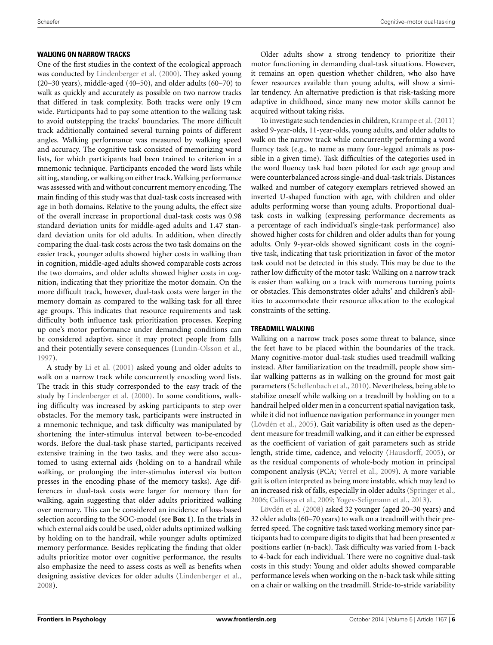## **WALKING ON NARROW TRACKS**

One of the first studies in the context of the ecological approach was conducted by [Lindenberger et al.](#page-7-26) [\(2000\)](#page-7-26). They asked young (20–30 years), middle-aged (40–50), and older adults (60–70) to walk as quickly and accurately as possible on two narrow tracks that differed in task complexity. Both tracks were only 19 cm wide. Participants had to pay some attention to the walking task to avoid outstepping the tracks' boundaries. The more difficult track additionally contained several turning points of different angles. Walking performance was measured by walking speed and accuracy. The cognitive task consisted of memorizing word lists, for which participants had been trained to criterion in a mnemonic technique. Participants encoded the word lists while sitting, standing, or walking on either track. Walking performance was assessed with and without concurrent memory encoding. The main finding of this study was that dual-task costs increased with age in both domains. Relative to the young adults, the effect size of the overall increase in proportional dual-task costs was 0.98 standard deviation units for middle-aged adults and 1.47 standard deviation units for old adults. In addition, when directly comparing the dual-task costs across the two task domains on the easier track, younger adults showed higher costs in walking than in cognition, middle-aged adults showed comparable costs across the two domains, and older adults showed higher costs in cognition, indicating that they prioritize the motor domain. On the more difficult track, however, dual-task costs were larger in the memory domain as compared to the walking task for all three age groups. This indicates that resource requirements and task difficulty both influence task prioritization processes. Keeping up one's motor performance under demanding conditions can be considered adaptive, since it may protect people from falls and their potentially severe consequences [\(Lundin-Olsson et al.](#page-7-1), [1997](#page-7-1)).

A study by [Li et al.](#page-7-27) [\(2001](#page-7-27)) asked young and older adults to walk on a narrow track while concurrently encoding word lists. The track in this study corresponded to the easy track of the study by [Lindenberger et al.](#page-7-26) [\(2000](#page-7-26)). In some conditions, walking difficulty was increased by asking participants to step over obstacles. For the memory task, participants were instructed in a mnemonic technique, and task difficulty was manipulated by shortening the inter-stimulus interval between to-be-encoded words. Before the dual-task phase started, participants received extensive training in the two tasks, and they were also accustomed to using external aids (holding on to a handrail while walking, or prolonging the inter-stimulus interval via button presses in the encoding phase of the memory tasks). Age differences in dual-task costs were larger for memory than for walking, again suggesting that older adults prioritized walking over memory. This can be considered an incidence of loss-based selection according to the SOC-model (see **[Box 1](#page-2-0)**). In the trials in which external aids could be used, older adults optimized walking by holding on to the handrail, while younger adults optimized memory performance. Besides replicating the finding that older adults prioritize motor over cognitive performance, the results also emphasize the need to assess costs as well as benefits when designing assistive devices for older adults [\(Lindenberger et al.](#page-7-28), [2008](#page-7-28)).

Older adults show a strong tendency to prioritize their motor functioning in demanding dual-task situations. However, it remains an open question whether children, who also have fewer resources available than young adults, will show a similar tendency. An alternative prediction is that risk-tasking more adaptive in childhood, since many new motor skills cannot be acquired without taking risks.

To investigate such tendencies in children, [Krampe et al.](#page-7-29) [\(2011](#page-7-29)) asked 9-year-olds, 11-year-olds, young adults, and older adults to walk on the narrow track while concurrently performing a word fluency task (e.g., to name as many four-legged animals as possible in a given time). Task difficulties of the categories used in the word fluency task had been piloted for each age group and were counterbalanced across single-and dual-task trials. Distances walked and number of category exemplars retrieved showed an inverted U-shaped function with age, with children and older adults performing worse than young adults. Proportional dualtask costs in walking (expressing performance decrements as a percentage of each individual's single-task performance) also showed higher costs for children and older adults than for young adults. Only 9-year-olds showed significant costs in the cognitive task, indicating that task prioritization in favor of the motor task could not be detected in this study. This may be due to the rather low difficulty of the motor task: Walking on a narrow track is easier than walking on a track with numerous turning points or obstacles. This demonstrates older adults' and children's abilities to accommodate their resource allocation to the ecological constraints of the setting.

## **TREADMILL WALKING**

Walking on a narrow track poses some threat to balance, since the feet have to be placed within the boundaries of the track. Many cognitive-motor dual-task studies used treadmill walking instead. After familiarization on the treadmill, people show similar walking patterns as in walking on the ground for most gait parameters [\(Schellenbach et al., 2010](#page-8-10)). Nevertheless, being able to stabilize oneself while walking on a treadmill by holding on to a handrail helped older men in a concurrent spatial navigation task, while it did not influence navigation performance in younger men [\(Lövdén et al., 2005\)](#page-7-30). Gait variability is often used as the dependent measure for treadmill walking, and it can either be expressed as the coefficient of variation of gait parameters such as stride length, stride time, cadence, and velocity [\(Hausdorff](#page-7-31), [2005](#page-7-31)), or as the residual components of whole-body motion in principal component analysis (PCA; [Verrel et al.](#page-8-6), [2009](#page-8-6)). A more variable gait is often interpreted as being more instable, which may lead to an increased risk of falls, especially in older adults [\(Springer et al.](#page-8-11), [2006](#page-8-11)[;](#page-7-18) [Callisaya et al.](#page-7-32), [2009](#page-7-32); [Yogev-Seligmann et al., 2013](#page-8-12)).

Lövdén et al. [\(2008](#page-7-18)) asked 32 younger (aged 20–30 years) and 32 older adults (60–70 years) to walk on a treadmill with their preferred speed. The cognitive task taxed working memory since participants had to compare digits to digits that had been presented *n* positions earlier (n-back). Task difficulty was varied from 1-back to 4-back for each individual. There were no cognitive dual-task costs in this study: Young and older adults showed comparable performance levels when working on the n-back task while sitting on a chair or walking on the treadmill. Stride-to-stride variability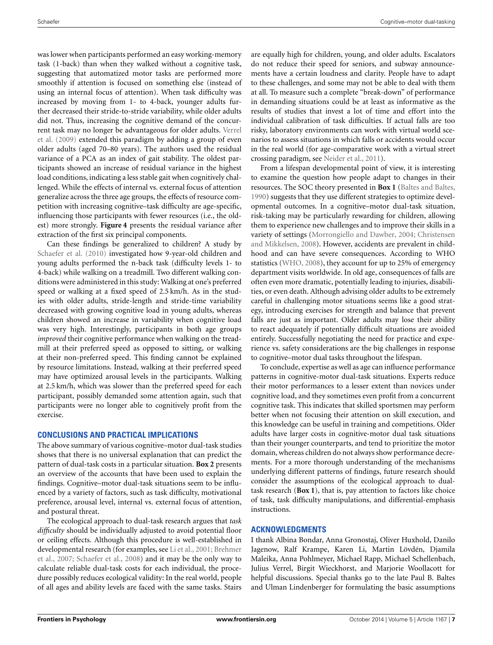was lower when participants performed an easy working-memory task (1-back) than when they walked without a cognitive task, suggesting that automatized motor tasks are performed more smoothly if attention is focused on something else (instead of using an internal focus of attention). When task difficulty was increased by moving from 1- to 4-back, younger adults further decreased their stride-to-stride variability, while older adults did not. Thus, increasing the cognitive demand of the concurrent [task may no longer be advantageous for older adults.](#page-8-6) Verrel et al. [\(2009\)](#page-8-6) extended this paradigm by adding a group of even older adults (aged 70–80 years). The authors used the residual variance of a PCA as an index of gait stability. The oldest participants showed an increase of residual variance in the highest load conditions, indicating a less stable gait when cognitively challenged. While the effects of internal vs. external focus of attention generalize across the three age groups, the effects of resource competition with increasing cognitive–task difficulty are age-specific, influencing those participants with fewer resources (i.e., the oldest) more strongly. **[Figure 4](#page-4-1)** presents the residual variance after extraction of the first six principal components.

Can these findings be generalized to children? A study by [Schaefer et al.](#page-7-33) [\(2010\)](#page-7-33) investigated how 9-year-old children and young adults performed the n-back task (difficulty levels 1- to 4-back) while walking on a treadmill. Two different walking conditions were administered in this study: Walking at one's preferred speed or walking at a fixed speed of 2.5 km/h. As in the studies with older adults, stride-length and stride-time variability decreased with growing cognitive load in young adults, whereas children showed an increase in variability when cognitive load was very high. Interestingly, participants in both age groups *improved* their cognitive performance when walking on the treadmill at their preferred speed as opposed to sitting, or walking at their non-preferred speed. This finding cannot be explained by resource limitations. Instead, walking at their preferred speed may have optimized arousal levels in the participants. Walking at 2.5 km/h, which was slower than the preferred speed for each participant, possibly demanded some attention again, such that participants were no longer able to cognitively profit from the exercise.

## **CONCLUSIONS AND PRACTICAL IMPLICATIONS**

The above summary of various cognitive–motor dual-task studies shows that there is no universal explanation that can predict the pattern of dual-task costs in a particular situation. **[Box 2](#page-2-0)** presents an overview of the accounts that have been used to explain the findings. Cognitive–motor dual-task situations seem to be influenced by a variety of factors, such as task difficulty, motivational preference, arousal level, internal vs. external focus of attention, and postural threat.

The ecological approach to dual-task research argues that *task difficulty* should be individually adjusted to avoid potential floor or ceiling effects. Although this procedure is well-established in deve[lopmental](#page-7-34) [research](#page-7-34) [\(for](#page-7-34) [examples,](#page-7-34) [see](#page-7-34) [Li et al.](#page-7-27), [2001;](#page-7-27) Brehmer et al., [2007](#page-7-34); [Schaefer et al., 2008](#page-7-35)) and it may be the only way to calculate reliable dual-task costs for each individual, the procedure possibly reduces ecological validity: In the real world, people of all ages and ability levels are faced with the same tasks. Stairs

are equally high for children, young, and older adults. Escalators do not reduce their speed for seniors, and subway announcements have a certain loudness and clarity. People have to adapt to these challenges, and some may not be able to deal with them at all. To measure such a complete "break-down" of performance in demanding situations could be at least as informative as the results of studies that invest a lot of time and effort into the individual calibration of task difficulties. If actual falls are too risky, laboratory environments can work with virtual world scenarios to assess situations in which falls or accidents would occur in the real world (for age-comparative work with a virtual street crossing paradigm, see [Neider et al., 2011\)](#page-7-36).

From a lifespan developmental point of view, it is interesting to examine the question how people adapt to changes in their resources. The SOC theory presented in **[Box 1](#page-2-0)** [\(Baltes and Baltes,](#page-7-37) [1990](#page-7-37)) suggests that they use different strategies to optimize developmental outcomes. In a cognitive–motor dual-task situation, risk-taking may be particularly rewarding for children, allowing them to experience new challenges and to improve their skills in a variety of setti[ngs](#page-7-39) [\(Morrongiello and Dawber, 2004;](#page-7-38) Christensen and Mikkelsen, [2008\)](#page-7-39). However, accidents are prevalent in childhood and can have severe consequences. According to WHO statistics [\(WHO](#page-8-13), [2008\)](#page-8-13), they account for up to 25% of emergency department visits worldwide. In old age, consequences of falls are often even more dramatic, potentially leading to injuries, disabilities, or even death. Although advising older adults to be extremely careful in challenging motor situations seems like a good strategy, introducing exercises for strength and balance that prevent falls are just as important. Older adults may lose their ability to react adequately if potentially difficult situations are avoided entirely. Successfully negotiating the need for practice and experience vs. safety considerations are the big challenges in response to cognitive–motor dual tasks throughout the lifespan.

To conclude, expertise as well as age can influence performance patterns in cognitive-motor dual-task situations. Experts reduce their motor performances to a lesser extent than novices under cognitive load, and they sometimes even profit from a concurrent cognitive task. This indicates that skilled sportsmen may perform better when not focusing their attention on skill execution, and this knowledge can be useful in training and competitions. Older adults have larger costs in cognitive-motor dual task situations than their younger counterparts, and tend to prioritize the motor domain, whereas children do not always show performance decrements. For a more thorough understanding of the mechanisms underlying different patterns of findings, future research should consider the assumptions of the ecological approach to dualtask research (**[Box 1](#page-2-0)**), that is, pay attention to factors like choice of task, task difficulty manipulations, and differential-emphasis instructions.

# **ACKNOWLEDGMENTS**

I thank Albina Bondar, Anna Gronostaj, Oliver Huxhold, Danilo Jagenow, Ralf Krampe, Karen Li, Martin Lövdén, Djamila Maleika, Anna Pohlmeyer, Michael Rapp, Michael Schellenbach, Julius Verrel, Birgit Wieckhorst, and Marjorie Woollacott for helpful discussions. Special thanks go to the late Paul B. Baltes and Ulman Lindenberger for formulating the basic assumptions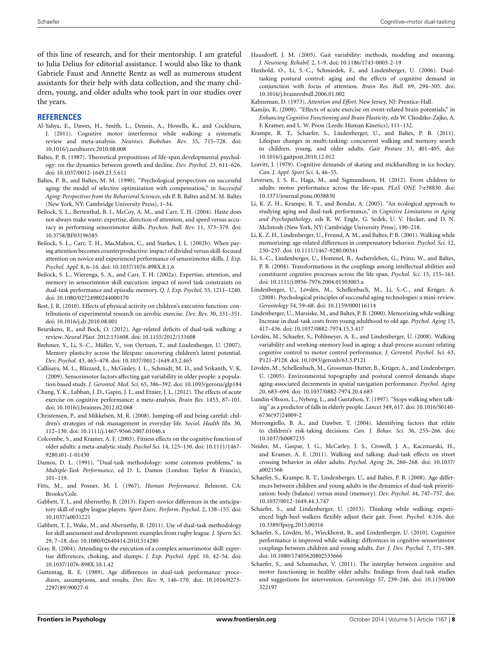of this line of research, and for their mentorship. I am grateful to Julia Delius for editorial assistance. I would also like to thank Gabriele Faust and Annette Rentz as well as numerous student assistants for their help with data collection, and the many children, young, and older adults who took part in our studies over the years.

#### **REFERENCES**

- <span id="page-7-23"></span>Al-Yahya, E., Dawes, H., Smith, L., Dennis, A., Howells, K., and Cockburn, J. (2011). Cognitive motor interference while walking: a systematic review and meta-analysis. *Neurosci. Biobehav. Rev.* 35, 715–728. doi: 10.1016/j.neubiorev.2010.08.008
- <span id="page-7-14"></span>Baltes, P. B. (1987). Theoretical propositions of life-span developmental psychology: on the dynamics between growth and decline. *Dev. Psychol.* 23, 611–626. doi: 10.1037/0012-1649.23.5.611
- <span id="page-7-37"></span>Baltes, P. B., and Baltes, M. M. (1990). "Psychological perspectives on successful aging: the model of selective optimization with compensation," in *Successful Aging: Perspectives from the Behavioral Sciences*, eds P. B. Baltes and M. M. Baltes (New York, NY: Cambridge University Press), 1–34.
- <span id="page-7-11"></span>Beilock, S. L., Bertenthal, B. I., McCoy, A. M., and Carr, T. H. (2004). Haste does not always make waste: expertise, direction of attention, and speed versus accuracy in performing sensorimotor skills. *Psychon. Bull. Rev.* 11, 373–379. doi: 10.3758/BF03196585
- <span id="page-7-13"></span>Beilock, S. L., Carr, T. H., MacMahon, C., and Starkes, J. L. (2002b). When paying attention becomes counterproductive: impact of divided versus skill-focused attention on novice and experienced performance of sensorimotor skills. *J. Exp. Psychol. Appl.* 8, 6–16. doi: 10.1037/1076-898X.8.1.6
- <span id="page-7-12"></span>Beilock, S. L., Wierenga, S. A., and Carr, T. H. (2002a). Expertise, attention, and memory in sensorimotor skill execution: impact of novel task constraints on dual-task performance and episodic memory. *Q. J. Exp. Psychol.* 55, 1211–1240. doi: 10.1080/02724980244000170
- <span id="page-7-22"></span>Best, J. R. (2010). Effects of physical activity on children's executive function: contributions of experimental research on aerobic exercise. *Dev. Rev.* 30, 331–351. doi: 10.1016/j.dr.2010.08.001
- <span id="page-7-24"></span>Beurskens, R., and Bock, O. (2012). Age-related deficits of dual-task walking: a review. *Neural Plast.* 2012:131608. doi: 10.1155/2012/131608
- <span id="page-7-34"></span>Brehmer, Y., Li, S.-C., Müller, V., von Oertzen, T., and Lindenberger, U. (2007). Memory plasticity across the lifespan: uncovering children's latent potential. *Dev. Psychol.* 43, 465–478. doi: 10.1037/0012-1649.43.2.465
- <span id="page-7-32"></span>Callisaya, M. L., Blizzard, L., McGinley, J. L., Schmidt, M. D., and Srikanth, V. K. (2009). Sensorimotor factors affecting gait variability in older people: a population based study. *J. Gerontol. Med. Sci.* 65, 386–392. doi: 10.1093/gerona/glp184
- <span id="page-7-19"></span>Chang, Y. K., Labban, J. D., Gapin, J. I., and Etnier, J. L. (2012). The effects of acute exercise on cognitive performance: a meta-analysis. *Brain Res.* 1453, 87–101. doi: 10.1016/j.brainres.2012.02.068
- <span id="page-7-39"></span>Christensen, P., and Mikkelsen, M. R. (2008). Jumping off and being careful: children's strategies of risk management in everyday life. *Sociol. Health Illn.* 30, 112–130. doi: 10.1111/j.1467-9566.2007.01046.x
- <span id="page-7-20"></span>Colcombe, S., and Kramer, A. F. (2003). Fitness effects on the cognitive function of older adults: a meta-analytic study. *Psychol Sci.* 14, 125–130. doi: 10.1111/1467- 9280.t01-1-01430
- <span id="page-7-4"></span>Damos, D. L. (1991). "Dual-task methodology: some common problems," in *Multiple-Task Performance*, ed D. L. Damos (London: Taylor & Francis), 101–119.
- <span id="page-7-5"></span>Fitts, M., and Posner, M. I. (1967). *Human Performance*. Belmont, CA: Brooks/Cole.
- <span id="page-7-9"></span>Gabbett, T. J., and Abernethy, B. (2013). Expert-novice differences in the anticipatory skill of rugby league players. *Sport Exerc. Perform. Psychol.* 2, 138–155. doi: 10.1037/a0031221
- <span id="page-7-8"></span>Gabbett, T. J., Wake, M., and Abernethy, B. (2011). Use of dual-task methodology for skill assessment and development: examples from rugby league. *J. Sports Sci.* 29, 7–18. doi: 10.1080/02640414.2010.514280
- <span id="page-7-10"></span>Gray, R. (2004). Attending to the execution of a complex sensorimotor skill: expertise differences, choking, and slumps. *J. Exp. Psychol. Appl.* 10, 42–54. doi: 10.1037/1076-898X.10.1.42
- <span id="page-7-2"></span>Guttentag, R. E. (1989). Age differences in dual-task performance: procedures, assumptions, and results. *Dev. Rev.* 9, 146–170. doi: 10.1016/0273- 2297(89)90027-0
- <span id="page-7-31"></span>Hausdorff, J. M. (2005). Gait variability: methods, modeling and meaning. *J. Neuroeng. Rehabil.* 2, 1–9. doi: 10.1186/1743-0003-2-19
- <span id="page-7-17"></span>Huxhold, O., Li, S.-C., Schmiedek, F., and Lindenberger, U. (2006). Dualtasking postural control: aging and the effects of cognitive demand in conjunction with focus of attention. *Brain Res. Bull.* 69, 294–305. doi: 10.1016/j.brainresbull.2006.01.002
- <span id="page-7-3"></span>Kahneman, D. (1973). *Attention and Effort*. New Jersey, NJ: Prentice-Hall.
- <span id="page-7-21"></span>Kamijo, K. (2009). "Effects of acute exercise on event-related brain potentials," in *Enhancing Cognitive Functioning and Brain Plasticity*, eds W. Chodzko-Zajko, A. F. Kramer, and L. W. Poon (Leeds: Human Kinetics), 111–132.
- <span id="page-7-29"></span>Krampe, R. T., Schaefer, S., Lindenberger, U., and Baltes, P. B. (2011). Lifespan changes in multi-tasking: concurrent walking and memory search in children, young, and older adults. *Gait Posture* 33, 401–405. doi: 10.1016/j.gaitpost.2010.12.012
- <span id="page-7-7"></span>Leavitt, J. (1979). Cognitive demands of skating and stickhandling in ice hockey. *Can. J. Appl. Sport Sci.* 4, 46–55.
- <span id="page-7-16"></span>Leversen, J. S. R., Haga, M., and Sigmundsson, H. (2012). From children to adults: motor performance across the life-span. *PLoS ONE* 7:e38830. doi: 10.1371/journal.pone.0038830
- <span id="page-7-0"></span>Li, K. Z. H., Krampe, R. T., and Bondar, A. (2005). "An ecological approach to studying aging and dual-task performance," in *Cognitive Limitations in Aging and Psychopathology*, eds R. W. Engle, G. Sedek, U. V. Hecker, and D. N. McIntosh (New York, NY: Cambridge University Press), 190–218.
- <span id="page-7-27"></span>Li, K. Z. H., Lindenberger, U., Freund, A. M., and Baltes, P. B. (2001). Walking while memorizing: age-related differences in compensatory behavior. *Psychol. Sci.* 12, 230–237. doi: 10.1111/1467-9280.00341
- <span id="page-7-15"></span>Li, S.-C., Lindenberger, U., Hommel, B., Aschersleben, G., Prinz, W., and Baltes, P. B. (2004). Transformations in the couplings among intellectual abilities and constituent cognitive processes across the life span. *Psychol. Sci.* 15, 155–163. doi: 10.1111/j.0956-7976.2004.01503003.x
- <span id="page-7-28"></span>Lindenberger, U., Lövdén, M., Schellenbach, M., Li, S.-C., and Krüger, A. (2008). Psychological principles of successful aging technologies: a mini-review. *Gerontology* 54, 59–68. doi: 10.1159/000116114
- <span id="page-7-26"></span>Lindenberger, U., Marsiske, M., and Baltes, P. B. (2000). Memorizing while walking: Increase in dual-task costs from young adulthood to old age. *Psychol. Aging* 15, 417–436. doi: 10.1037/0882-7974.15.3.417
- <span id="page-7-18"></span>Lövdén, M., Schaefer, S., Pohlmeyer, A. E., and Lindenberger, U. (2008). Walking variability and working-memory load in aging: a dual-process account relating cognitive control to motor control performance. *J. Gerontol. Psychol. Sci.* 63, P121–P128. doi: 10.1093/geronb/63.3.P121
- <span id="page-7-30"></span>Lövdén, M., Schellenbach, M., Grossman-Hutter, B., Krüger, A., and Lindenberger, U. (2005). Environmental topography and postural control demands shape aging-associated decrements in spatial navigation performance. *Psychol. Aging* 20, 683–694. doi: 10.1037/0882-7974.20.4.683
- <span id="page-7-1"></span>Lundin-Olsson, L., Nyberg, L., and Gustafson, Y. (1997). "Stops walking when talking" as a predictor of falls in elderly people. *Lancet* 349, 617. doi: 10.1016/S0140- 6736(97)24009-2
- <span id="page-7-38"></span>Morrongiello, B. A., and Dawber, T. (2004). Identifying factors that relate to children's risk-taking decisions. *Can. J. Behav. Sci.* 36, 255–266. doi: 10.1037/h0087235
- <span id="page-7-36"></span>Neider, M., Gaspar, J. G., McCarley, J. S., Crowell, J. A., Kaczmarski, H., and Kramer, A. F. (2011). Walking and talking: dual-task effects on street crossing behavior in older adults. *Psychol. Aging* 26, 260–268. doi: 10.1037/ a0021566
- <span id="page-7-35"></span>Schaefer, S., Krampe, R. T., Lindenberger, U., and Baltes, P. B. (2008). Age differences between children and young adults in the dynamics of dual-task prioritization: body (balance) versus mind (memory). *Dev. Psychol.* 44, 747–757. doi: 10.1037/0012-1649.44.3.747
- <span id="page-7-6"></span>Schaefer, S., and Lindenberger, U. (2013). Thinking while walking: experienced high-heel walkers flexibly adjust their gait. *Front. Psychol.* 4:316. doi: 10.3389/fpsyg.2013.00316
- <span id="page-7-33"></span>Schaefer, S., Lövdén, M., Wieckhorst, B., and Lindenberger, U. (2010). Cognitive performance is improved while walking: differences in cognitive-sensorimotor couplings between children and young adults. *Eur. J. Dev. Psychol.* 7, 371–389. doi: 10.1080/17405620802535666
- <span id="page-7-25"></span>Schaefer, S., and Schumacher, V. (2011). The interplay between cognitive and motor functioning in healthy older adults: findings from dual-task studies and suggestions for intervention. *Gerontology* 57, 239–246. doi: 10.1159/000 322197